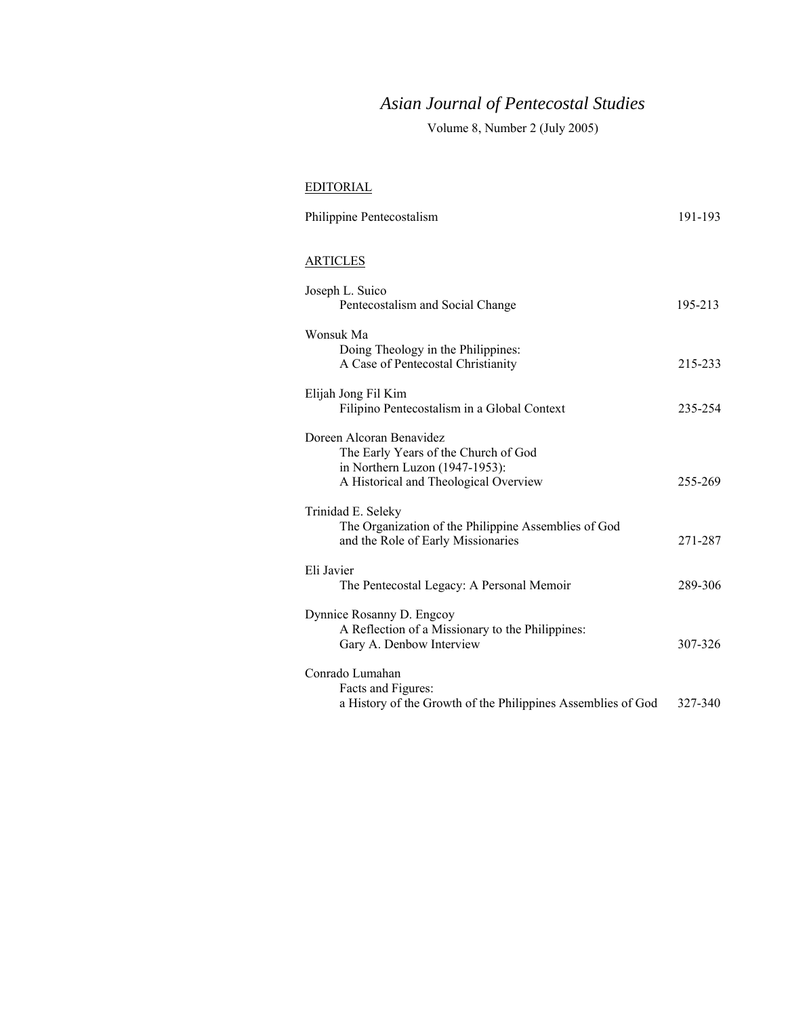# *Asian Journal of Pentecostal Studies*

Volume 8, Number 2 (July 2005)

### EDITORIAL

| Philippine Pentecostalism                                                                                                                   | 191-193 |
|---------------------------------------------------------------------------------------------------------------------------------------------|---------|
| ARTICLES                                                                                                                                    |         |
| Joseph L. Suico<br>Pentecostalism and Social Change                                                                                         | 195-213 |
| Wonsuk Ma<br>Doing Theology in the Philippines:<br>A Case of Pentecostal Christianity                                                       | 215-233 |
| Elijah Jong Fil Kim<br>Filipino Pentecostalism in a Global Context                                                                          | 235-254 |
| Doreen Alcoran Benavidez<br>The Early Years of the Church of God<br>in Northern Luzon (1947-1953):<br>A Historical and Theological Overview | 255-269 |
| Trinidad E. Seleky<br>The Organization of the Philippine Assemblies of God<br>and the Role of Early Missionaries                            | 271-287 |
| Eli Javier<br>The Pentecostal Legacy: A Personal Memoir                                                                                     | 289-306 |
| Dynnice Rosanny D. Engcoy<br>A Reflection of a Missionary to the Philippines:<br>Gary A. Denbow Interview                                   | 307-326 |
| Conrado Lumahan<br>Facts and Figures:<br>a History of the Growth of the Philippines Assemblies of God                                       | 327-340 |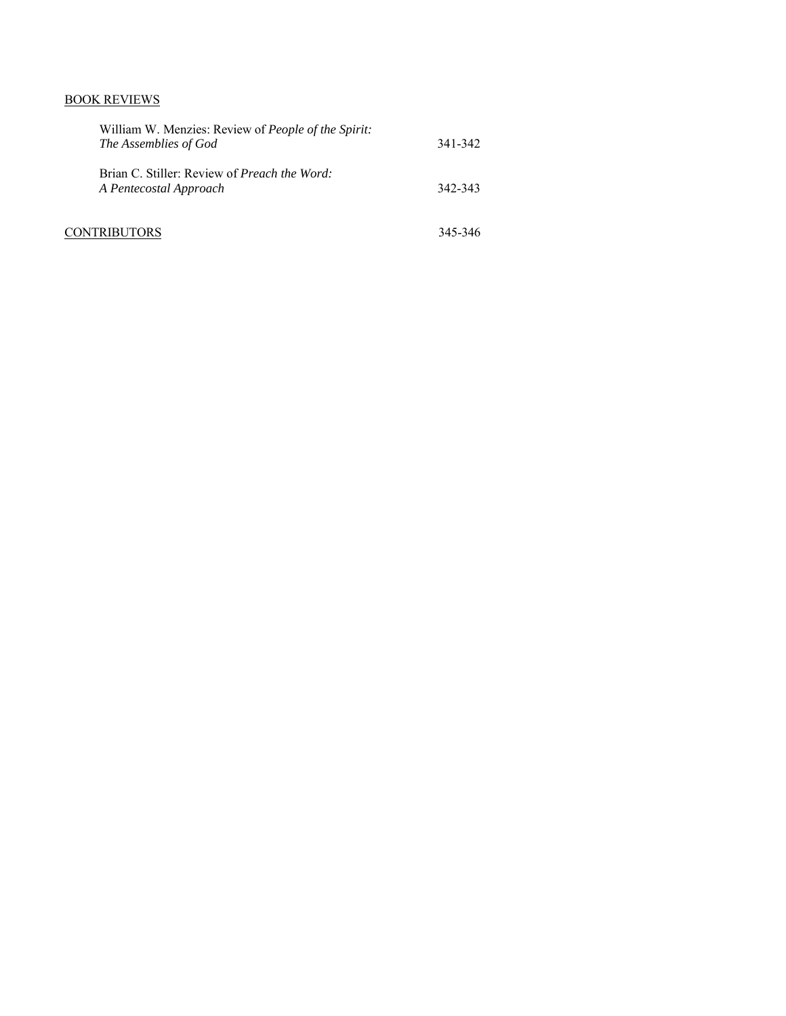## BOOK REVIEWS

| William W. Menzies: Review of <i>People of the Spirit:</i><br>The Assemblies of God | 341-342 |
|-------------------------------------------------------------------------------------|---------|
| Brian C. Stiller: Review of <i>Preach the Word</i> :<br>A Pentecostal Approach      | 342-343 |
| CONTRIBUTORS                                                                        | 345-346 |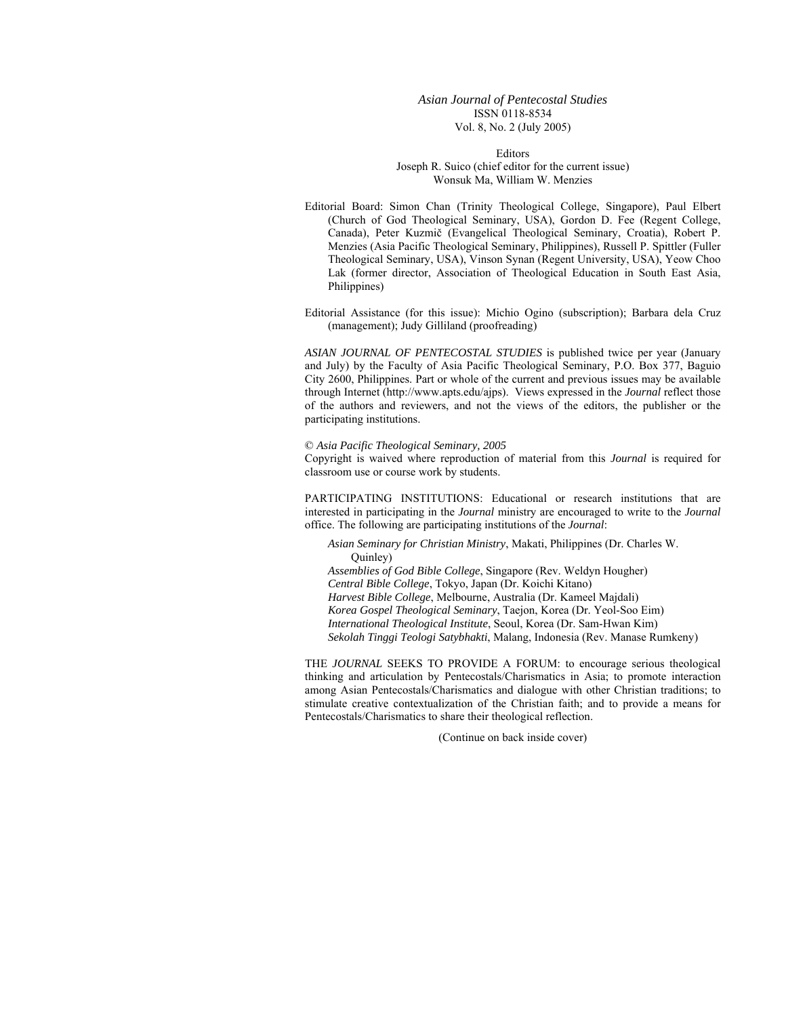#### *Asian Journal of Pentecostal Studies*  ISSN 0118-8534 Vol. 8, No. 2 (July 2005)

Editors Joseph R. Suico (chief editor for the current issue) Wonsuk Ma, William W. Menzies

- Editorial Board: Simon Chan (Trinity Theological College, Singapore), Paul Elbert (Church of God Theological Seminary, USA), Gordon D. Fee (Regent College, Canada), Peter Kuzmič (Evangelical Theological Seminary, Croatia), Robert P. Menzies (Asia Pacific Theological Seminary, Philippines), Russell P. Spittler (Fuller Theological Seminary, USA), Vinson Synan (Regent University, USA), Yeow Choo Lak (former director, Association of Theological Education in South East Asia, Philippines)
- Editorial Assistance (for this issue): Michio Ogino (subscription); Barbara dela Cruz (management); Judy Gilliland (proofreading)

*ASIAN JOURNAL OF PENTECOSTAL STUDIES* is published twice per year (January and July) by the Faculty of Asia Pacific Theological Seminary, P.O. Box 377, Baguio City 2600, Philippines. Part or whole of the current and previous issues may be available through Internet (http://www.apts.edu/ajps). Views expressed in the *Journal* reflect those of the authors and reviewers, and not the views of the editors, the publisher or the participating institutions.

#### © *Asia Pacific Theological Seminary, 2005*

Copyright is waived where reproduction of material from this *Journal* is required for classroom use or course work by students.

PARTICIPATING INSTITUTIONS: Educational or research institutions that are interested in participating in the *Journal* ministry are encouraged to write to the *Journal* office. The following are participating institutions of the *Journal*:

*Asian Seminary for Christian Ministry*, Makati, Philippines (Dr. Charles W. Quinley)

*Assemblies of God Bible College*, Singapore (Rev. Weldyn Hougher)

*Central Bible College*, Tokyo, Japan (Dr. Koichi Kitano)

*Harvest Bible College*, Melbourne, Australia (Dr. Kameel Majdali)

*Korea Gospel Theological Seminary*, Taejon, Korea (Dr. Yeol-Soo Eim)

*International Theological Institute*, Seoul, Korea (Dr. Sam-Hwan Kim)

*Sekolah Tinggi Teologi Satybhakti*, Malang, Indonesia (Rev. Manase Rumkeny)

THE *JOURNAL* SEEKS TO PROVIDE A FORUM: to encourage serious theological thinking and articulation by Pentecostals/Charismatics in Asia; to promote interaction among Asian Pentecostals/Charismatics and dialogue with other Christian traditions; to stimulate creative contextualization of the Christian faith; and to provide a means for Pentecostals/Charismatics to share their theological reflection.

(Continue on back inside cover)